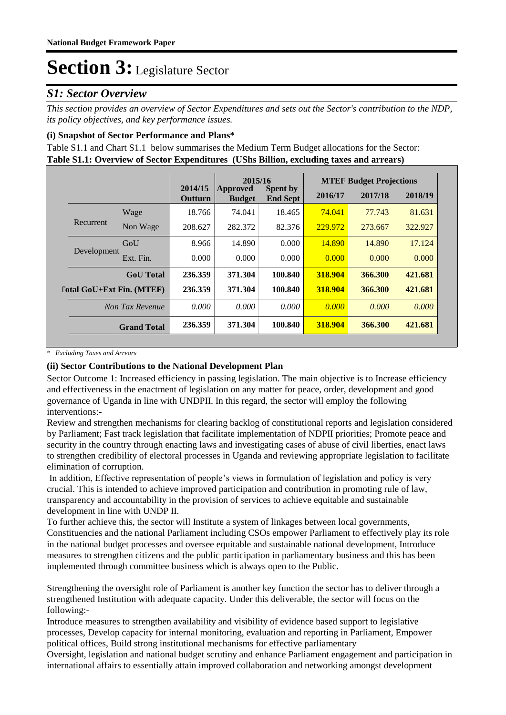### *S1: Sector Overview*

*This section provides an overview of Sector Expenditures and sets out the Sector's contribution to the NDP, its policy objectives, and key performance issues.* 

#### **(i) Snapshot of Sector Performance and Plans\***

**Table S1.1: Overview of Sector Expenditures (UShs Billion, excluding taxes and arrears)** Table S1.1 and Chart S1.1 below summarises the Medium Term Budget allocations for the Sector:

|                           |                    |                           |                           | 2015/16                            |         | <b>MTEF Budget Projections</b> |         |  |  |
|---------------------------|--------------------|---------------------------|---------------------------|------------------------------------|---------|--------------------------------|---------|--|--|
|                           |                    | 2014/15<br><b>Outturn</b> | Approved<br><b>Budget</b> | <b>Spent by</b><br><b>End Sept</b> | 2016/17 | 2017/18                        | 2018/19 |  |  |
|                           | Wage               | 18.766                    | 74.041                    | 18.465                             | 74.041  | 77.743                         | 81.631  |  |  |
| Recurrent                 | Non Wage           | 208.627                   | 282.372                   | 82.376                             | 229.972 | 273.667                        | 322.927 |  |  |
|                           | GoU                | 8.966                     | 14.890                    | 0.000                              | 14.890  | 14.890                         | 17.124  |  |  |
| Development               | Ext. Fin.          | 0.000                     | 0.000                     | 0.000                              | 0.000   | 0.000                          | 0.000   |  |  |
|                           | <b>GoU</b> Total   | 236.359                   | 371.304                   | 100.840                            | 318.904 | 366.300                        | 421.681 |  |  |
| [otal GoU+Ext Fin. (MTEF) |                    | 236.359                   | 371.304                   | 100.840                            | 318.904 | 366.300                        | 421.681 |  |  |
| Non Tax Revenue           |                    | 0.000                     | 0.000                     | 0.000                              | 0.000   | 0.000                          | 0.000   |  |  |
|                           | <b>Grand Total</b> | 236.359                   | 371.304                   | 100.840                            | 318.904 | 366.300                        | 421.681 |  |  |

*\* Excluding Taxes and Arrears*

#### **(ii) Sector Contributions to the National Development Plan**

Sector Outcome 1: Increased efficiency in passing legislation. The main objective is to Increase efficiency and effectiveness in the enactment of legislation on any matter for peace, order, development and good governance of Uganda in line with UNDPII. In this regard, the sector will employ the following interventions:-

Review and strengthen mechanisms for clearing backlog of constitutional reports and legislation considered by Parliament; Fast track legislation that facilitate implementation of NDPII priorities; Promote peace and security in the country through enacting laws and investigating cases of abuse of civil liberties, enact laws to strengthen credibility of electoral processes in Uganda and reviewing appropriate legislation to facilitate elimination of corruption.

 In addition, Effective representation of people's views in formulation of legislation and policy is very crucial. This is intended to achieve improved participation and contribution in promoting rule of law, transparency and accountability in the provision of services to achieve equitable and sustainable development in line with UNDP II.

To further achieve this, the sector will Institute a system of linkages between local governments, Constituencies and the national Parliament including CSOs empower Parliament to effectively play its role in the national budget processes and oversee equitable and sustainable national development, Introduce measures to strengthen citizens and the public participation in parliamentary business and this has been implemented through committee business which is always open to the Public.

Strengthening the oversight role of Parliament is another key function the sector has to deliver through a strengthened Institution with adequate capacity. Under this deliverable, the sector will focus on the following:-

Introduce measures to strengthen availability and visibility of evidence based support to legislative processes, Develop capacity for internal monitoring, evaluation and reporting in Parliament, Empower political offices, Build strong institutional mechanisms for effective parliamentary

Oversight, legislation and national budget scrutiny and enhance Parliament engagement and participation in international affairs to essentially attain improved collaboration and networking amongst development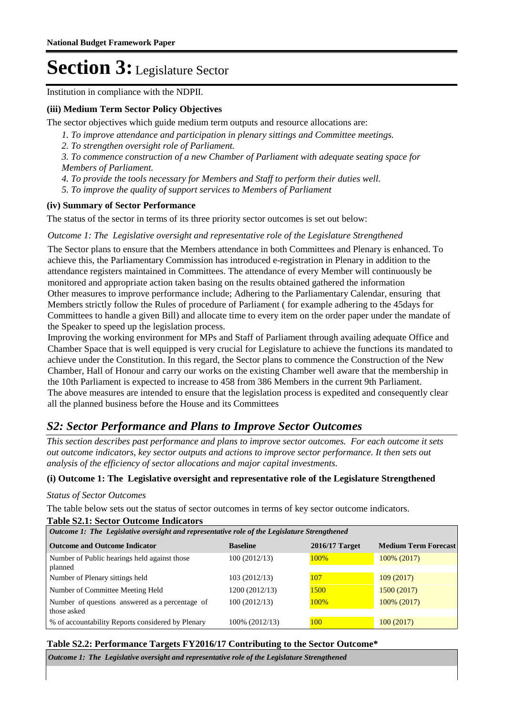Institution in compliance with the NDPII.

#### **(iii) Medium Term Sector Policy Objectives**

The sector objectives which guide medium term outputs and resource allocations are:

- *1. To improve attendance and participation in plenary sittings and Committee meetings.*
- *2. To strengthen oversight role of Parliament.*

*3. To commence construction of a new Chamber of Parliament with adequate seating space for Members of Parliament.* 

*4. To provide the tools necessary for Members and Staff to perform their duties well.* 

*5. To improve the quality of support services to Members of Parliament*

#### **(iv) Summary of Sector Performance**

The status of the sector in terms of its three priority sector outcomes is set out below:

#### Outcome 1: The Legislative oversight and representative role of the Legislature Strengthened

The Sector plans to ensure that the Members attendance in both Committees and Plenary is enhanced. To achieve this, the Parliamentary Commission has introduced e-registration in Plenary in addition to the attendance registers maintained in Committees. The attendance of every Member will continuously be monitored and appropriate action taken basing on the results obtained gathered the information Other measures to improve performance include; Adhering to the Parliamentary Calendar, ensuring that Members strictly follow the Rules of procedure of Parliament ( for example adhering to the 45days for Committees to handle a given Bill) and allocate time to every item on the order paper under the mandate of the Speaker to speed up the legislation process.

Improving the working environment for MPs and Staff of Parliament through availing adequate Office and Chamber Space that is well equipped is very crucial for Legislature to achieve the functions its mandated to achieve under the Constitution. In this regard, the Sector plans to commence the Construction of the New Chamber, Hall of Honour and carry our works on the existing Chamber well aware that the membership in the 10th Parliament is expected to increase to 458 from 386 Members in the current 9th Parliament. The above measures are intended to ensure that the legislation process is expedited and consequently clear all the planned business before the House and its Committees

### *S2: Sector Performance and Plans to Improve Sector Outcomes*

*This section describes past performance and plans to improve sector outcomes. For each outcome it sets out outcome indicators, key sector outputs and actions to improve sector performance. It then sets out analysis of the efficiency of sector allocations and major capital investments.*

#### **(i) Outcome 1: The Legislative oversight and representative role of the Legislature Strengthened**

#### *Status of Sector Outcomes*

The table below sets out the status of sector outcomes in terms of key sector outcome indicators.

#### **Table S2.1: Sector Outcome Indicators**

| Outcome 1: The Legislative oversight and representative role of the Legislature Strengthened |                 |                  |                             |  |  |
|----------------------------------------------------------------------------------------------|-----------------|------------------|-----------------------------|--|--|
| <b>Outcome and Outcome Indicator</b>                                                         | <b>Baseline</b> | $2016/17$ Target | <b>Medium Term Forecast</b> |  |  |
| Number of Public hearings held against those<br>planned                                      | 100(2012/13)    | 100%             | 100% (2017)                 |  |  |
| Number of Plenary sittings held                                                              | 103 (2012/13)   | 107              | 109(2017)                   |  |  |
| Number of Committee Meeting Held                                                             | 1200 (2012/13)  | 1500             | 1500(2017)                  |  |  |
| Number of questions answered as a percentage of<br>those asked                               | 100(2012/13)    | 100%             | 100% (2017)                 |  |  |
| % of accountability Reports considered by Plenary                                            | 100% (2012/13)  | 100              | 100(2017)                   |  |  |

#### **Table S2.2: Performance Targets FY2016/17 Contributing to the Sector Outcome\***

*Outcome 1: The Legislative oversight and representative role of the Legislature Strengthened*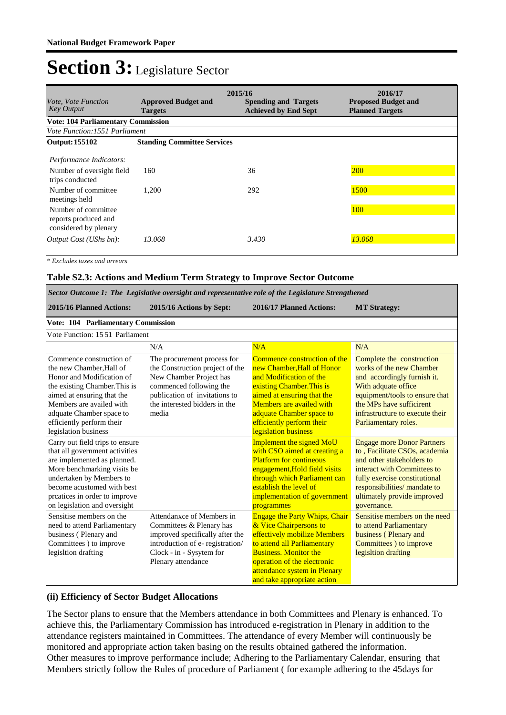| <i>Vote, Vote Function</i><br><b>Key Output</b>                                                                 | <b>Approved Budget and</b><br><b>Targets</b> | 2015/16<br><b>Spending and Targets</b><br><b>Achieved by End Sept</b> | 2016/17<br><b>Proposed Budget and</b><br><b>Planned Targets</b> |  |  |  |  |
|-----------------------------------------------------------------------------------------------------------------|----------------------------------------------|-----------------------------------------------------------------------|-----------------------------------------------------------------|--|--|--|--|
| <b>Vote: 104 Parliamentary Commission</b>                                                                       |                                              |                                                                       |                                                                 |  |  |  |  |
| <i>Vote Function:1551 Parliament</i>                                                                            |                                              |                                                                       |                                                                 |  |  |  |  |
| Output: 155102                                                                                                  | <b>Standing Committee Services</b>           |                                                                       |                                                                 |  |  |  |  |
| Performance Indicators:<br>Number of oversight field<br>trips conducted<br>Number of committee<br>meetings held | 160<br>1.200                                 | 36<br>292                                                             | <b>200</b><br>1500                                              |  |  |  |  |
| Number of committee<br>reports produced and<br>considered by plenary                                            |                                              |                                                                       | <b>100</b>                                                      |  |  |  |  |
| Output $Cost (UShs bn):$                                                                                        | 13.068                                       | 3.430                                                                 | 13.068                                                          |  |  |  |  |

*\* Excludes taxes and arrears*

#### **Table S2.3: Actions and Medium Term Strategy to Improve Sector Outcome**

| Sector Outcome 1: The Legislative oversight and representative role of the Legislature Strengthened                                                                                                                                                           |                                                                                                                                                                                                 |                                                                                                                                                                                                                                                              |                                                                                                                                                                                                                                               |  |  |  |  |
|---------------------------------------------------------------------------------------------------------------------------------------------------------------------------------------------------------------------------------------------------------------|-------------------------------------------------------------------------------------------------------------------------------------------------------------------------------------------------|--------------------------------------------------------------------------------------------------------------------------------------------------------------------------------------------------------------------------------------------------------------|-----------------------------------------------------------------------------------------------------------------------------------------------------------------------------------------------------------------------------------------------|--|--|--|--|
| 2015/16 Planned Actions:                                                                                                                                                                                                                                      | 2015/16 Actions by Sept:                                                                                                                                                                        | 2016/17 Planned Actions:                                                                                                                                                                                                                                     | <b>MT</b> Strategy:                                                                                                                                                                                                                           |  |  |  |  |
| <b>Vote: 104 Parliamentary Commission</b>                                                                                                                                                                                                                     |                                                                                                                                                                                                 |                                                                                                                                                                                                                                                              |                                                                                                                                                                                                                                               |  |  |  |  |
| Vote Function: 15.51 Parliament                                                                                                                                                                                                                               |                                                                                                                                                                                                 |                                                                                                                                                                                                                                                              |                                                                                                                                                                                                                                               |  |  |  |  |
|                                                                                                                                                                                                                                                               | N/A                                                                                                                                                                                             | N/A                                                                                                                                                                                                                                                          | N/A                                                                                                                                                                                                                                           |  |  |  |  |
| Commence construction of<br>the new Chamber. Hall of<br>Honor and Modification of<br>the existing Chamber. This is<br>aimed at ensuring that the<br>Members are availed with<br>adquate Chamber space to<br>efficiently perform their<br>legislation business | The procurement process for<br>the Construction project of the<br>New Chamber Project has<br>commenced following the<br>publication of invitations to<br>the interested bidders in the<br>media | Commence construction of the<br>new Chamber.Hall of Honor<br>and Modification of the<br>existing Chamber. This is<br>aimed at ensuring that the<br>Members are availed with<br>adquate Chamber space to<br>efficiently perform their<br>legislation business | Complete the construction<br>works of the new Chamber<br>and accordingly furnish it.<br>With adquate office<br>equipment/tools to ensure that<br>the MPs have sufficirent<br>infrastructure to execute their<br>Parliamentary roles.          |  |  |  |  |
| Carry out field trips to ensure<br>that all government activities<br>are implemented as planned.<br>More benchmarking visits be<br>undertaken by Members to<br>become acustomed with best<br>prcatices in order to improve<br>on legislation and oversight    |                                                                                                                                                                                                 | <b>Implement the signed MoU</b><br>with CSO aimed at creating a<br><b>Platform for contineous</b><br>engagement, Hold field visits<br>through which Parliament can<br>establish the level of<br>implementation of government<br>programmes                   | <b>Engage more Donor Partners</b><br>to, Facilitate CSOs, academia<br>and other stakeholders to<br>interact with Committees to<br>fully exercise constitutional<br>responsibilities/ mandate to<br>ultimately provide improved<br>governance. |  |  |  |  |
| Sensitise members on the<br>need to attend Parliamentary<br>business (Plenary and<br>Committees ) to improve<br>legisltion drafting                                                                                                                           | Attendanxce of Members in<br>Committees & Plenary has<br>improved specifically after the<br>introduction of e-registration/<br>Clock - in - Sysytem for<br>Plenary attendance                   | <b>Engage the Party Whips, Chair</b><br>& Vice Chairpersons to<br>effectively mobilize Members<br>to attend all Parliamentary<br><b>Business. Monitor the</b><br>operation of the electronic<br>attendance system in Plenary<br>and take appropriate action  | Sensitise members on the need<br>to attend Parliamentary<br>business (Plenary and<br>Committees ) to improve<br>legisltion drafting                                                                                                           |  |  |  |  |

#### **(ii) Efficiency of Sector Budget Allocations**

The Sector plans to ensure that the Members attendance in both Committees and Plenary is enhanced. To achieve this, the Parliamentary Commission has introduced e-registration in Plenary in addition to the attendance registers maintained in Committees. The attendance of every Member will continuously be monitored and appropriate action taken basing on the results obtained gathered the information. Other measures to improve performance include; Adhering to the Parliamentary Calendar, ensuring that Members strictly follow the Rules of procedure of Parliament ( for example adhering to the 45days for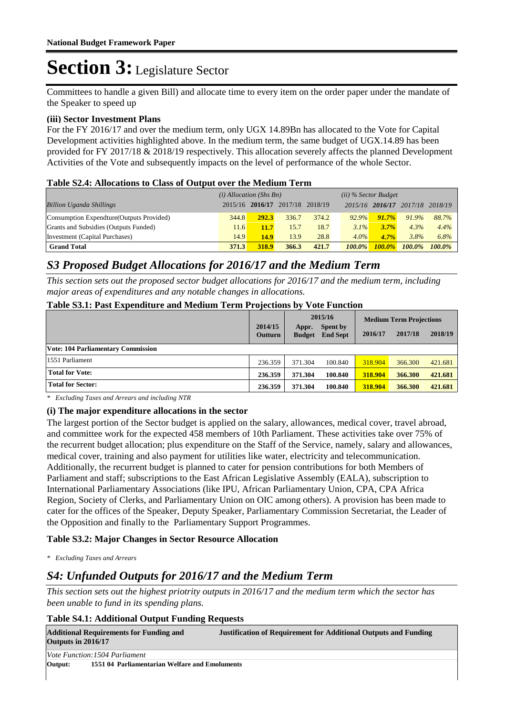Committees to handle a given Bill) and allocate time to every item on the order paper under the mandate of the Speaker to speed up

#### **(iii) Sector Investment Plans**

For the FY 2016/17 and over the medium term, only UGX 14.89Bn has allocated to the Vote for Capital Development activities highlighted above. In the medium term, the same budget of UGX.14.89 has been provided for FY 2017/18 & 2018/19 respectively. This allocation severely affects the planned Development Activities of the Vote and subsequently impacts on the level of performance of the whole Sector.

#### **Table S2.4: Allocations to Class of Output over the Medium Term**

|                                           | THOIC DENNI IMPORTANT TO CHEOD OF O WEDGE OVER THE TREMENTED FOR THE |                 |                 |                        |           |                 |           |           |
|-------------------------------------------|----------------------------------------------------------------------|-----------------|-----------------|------------------------|-----------|-----------------|-----------|-----------|
|                                           | $(i)$ Allocation (Shs Bn)                                            |                 |                 | $(ii)$ % Sector Budget |           |                 |           |           |
| <b>Billion Uganda Shillings</b>           |                                                                      | 2015/16 2016/17 | 2017/18 2018/19 |                        |           | 2015/16 2016/17 | 2017/18   | 2018/19   |
| Consumption Expendture (Outputs Provided) | 344.8                                                                | 292.3           | 336.7           | 374.2                  | $92.9\%$  | 91.7%           | 91.9%     | 88.7%     |
| Grants and Subsidies (Outputs Funded)     | 11.6                                                                 | <b>11.7</b>     | 15.7            | 18.7                   | $3.1\%$   | 3.7%            | 4.3%      | 4.4%      |
| Investment (Capital Purchases)            | 14.9                                                                 | <b>14.9</b>     | 13.9            | 28.8                   | $4.0\%$   | 4.7%            | 3.8%      | 6.8%      |
| <b>Grand Total</b>                        | 371.3                                                                | 318.9           | 366.3           | 421.7                  | $100.0\%$ | $100.0\%$       | $100.0\%$ | $100.0\%$ |

### *S3 Proposed Budget Allocations for 2016/17 and the Medium Term*

*This section sets out the proposed sector budget allocations for 2016/17 and the medium term, including major areas of expenditures and any notable changes in allocations.* 

#### **Table S3.1: Past Expenditure and Medium Term Projections by Vote Function**

|                                           | 2014/15<br><b>Outturn</b> | Appr.<br><b>Budget</b> | 2015/16<br><b>Spent by</b><br><b>End Sept</b> | 2016/17 | <b>Medium Term Projections</b><br>2017/18 | 2018/19 |
|-------------------------------------------|---------------------------|------------------------|-----------------------------------------------|---------|-------------------------------------------|---------|
| <b>Vote: 104 Parliamentary Commission</b> |                           |                        |                                               |         |                                           |         |
| 1551 Parliament                           | 236.359                   | 371.304                | 100.840                                       | 318.904 | 366.300                                   | 421.681 |
| <b>Total for Vote:</b>                    | 236.359                   | 371.304                | 100.840                                       | 318.904 | 366.300                                   | 421.681 |
| <b>Total for Sector:</b>                  | 236.359                   | 371.304                | 100.840                                       | 318.904 | 366.300                                   | 421.681 |

*\* Excluding Taxes and Arrears and including NTR*

#### **(i) The major expenditure allocations in the sector**

The largest portion of the Sector budget is applied on the salary, allowances, medical cover, travel abroad, and committee work for the expected 458 members of 10th Parliament. These activities take over 75% of the recurrent budget allocation; plus expenditure on the Staff of the Service, namely, salary and allowances, medical cover, training and also payment for utilities like water, electricity and telecommunication. Additionally, the recurrent budget is planned to cater for pension contributions for both Members of Parliament and staff; subscriptions to the East African Legislative Assembly (EALA), subscription to International Parliamentary Associations (like IPU, African Parliamentary Union, CPA, CPA Africa Region, Society of Clerks, and Parliamentary Union on OIC among others). A provision has been made to cater for the offices of the Speaker, Deputy Speaker, Parliamentary Commission Secretariat, the Leader of the Opposition and finally to the Parliamentary Support Programmes.

#### **Table S3.2: Major Changes in Sector Resource Allocation**

*\* Excluding Taxes and Arrears*

### *S4: Unfunded Outputs for 2016/17 and the Medium Term*

*This section sets out the highest priotrity outputs in 2016/17 and the medium term which the sector has been unable to fund in its spending plans.*

#### **Table S4.1: Additional Output Funding Requests**

| <b>Additional Requirements for Funding and</b><br>Outputs in $2016/17$ |                                                | <b>Justification of Requirement for Additional Outputs and Funding</b> |
|------------------------------------------------------------------------|------------------------------------------------|------------------------------------------------------------------------|
|                                                                        | <i>Vote Function:1504 Parliament</i>           |                                                                        |
| Output:                                                                | 1551 04 Parliamentarian Welfare and Emoluments |                                                                        |